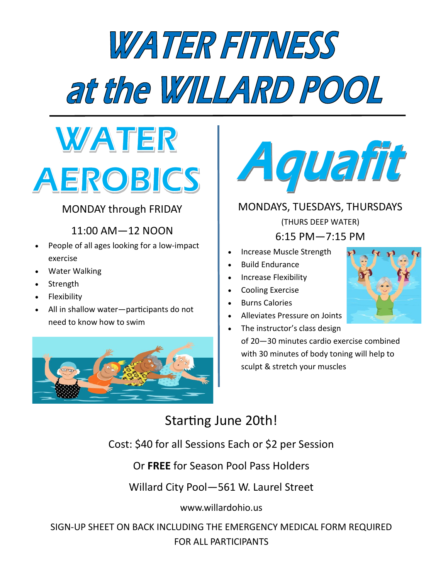# *WATER FITNESS* at the WILLARD POOL



### MONDAY through FRIDAY

11:00 AM—12 NOON

- People of all ages looking for a low-impact exercise
- Water Walking
- **Strength**
- **Flexibility**
- All in shallow water—participants do not need to know how to swim





MONDAYS, TUESDAYS, THURSDAYS (THURS DEEP WATER) 6:15 PM—7:15 PM

- Increase Muscle Strength
- Build Endurance
- Increase Flexibility
- Cooling Exercise
- Burns Calories
- Alleviates Pressure on Joints
- The instructor's class design of 20—30 minutes cardio exercise combined with 30 minutes of body toning will help to

sculpt & stretch your muscles



## Starting June 20th!

Cost: \$40 for all Sessions Each or \$2 per Session

Or **FREE** for Season Pool Pass Holders

Willard City Pool—561 W. Laurel Street

www.willardohio.us

SIGN-UP SHEET ON BACK INCLUDING THE EMERGENCY MEDICAL FORM REQUIRED FOR ALL PARTICIPANTS